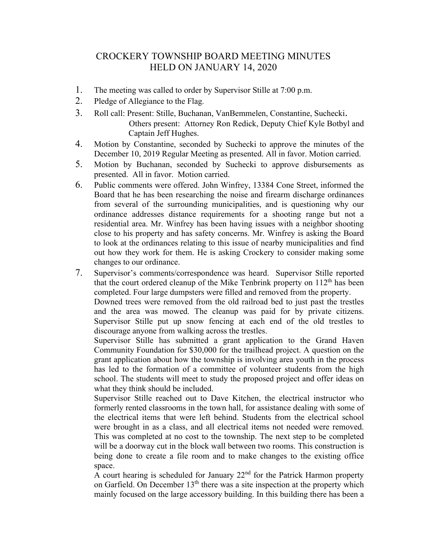## CROCKERY TOWNSHIP BOARD MEETING MINUTES HELD ON JANUARY 14, 2020

- 1. The meeting was called to order by Supervisor Stille at 7:00 p.m.
- 2. Pledge of Allegiance to the Flag.
- 3. Roll call: Present: Stille, Buchanan, VanBemmelen, Constantine, Suchecki. Others present: Attorney Ron Redick, Deputy Chief Kyle Botbyl and Captain Jeff Hughes.
- 4. Motion by Constantine, seconded by Suchecki to approve the minutes of the December 10, 2019 Regular Meeting as presented. All in favor. Motion carried.
- 5. Motion by Buchanan, seconded by Suchecki to approve disbursements as presented. All in favor. Motion carried.
- 6. Public comments were offered. John Winfrey, 13384 Cone Street, informed the Board that he has been researching the noise and firearm discharge ordinances from several of the surrounding municipalities, and is questioning why our ordinance addresses distance requirements for a shooting range but not a residential area. Mr. Winfrey has been having issues with a neighbor shooting close to his property and has safety concerns. Mr. Winfrey is asking the Board to look at the ordinances relating to this issue of nearby municipalities and find out how they work for them. He is asking Crockery to consider making some changes to our ordinance.
- 7. Supervisor's comments/correspondence was heard. Supervisor Stille reported that the court ordered cleanup of the Mike Tenbrink property on  $112<sup>th</sup>$  has been completed. Four large dumpsters were filled and removed from the property.

Downed trees were removed from the old railroad bed to just past the trestles and the area was mowed. The cleanup was paid for by private citizens. Supervisor Stille put up snow fencing at each end of the old trestles to discourage anyone from walking across the trestles.

Supervisor Stille has submitted a grant application to the Grand Haven Community Foundation for \$30,000 for the trailhead project. A question on the grant application about how the township is involving area youth in the process has led to the formation of a committee of volunteer students from the high school. The students will meet to study the proposed project and offer ideas on what they think should be included.

Supervisor Stille reached out to Dave Kitchen, the electrical instructor who formerly rented classrooms in the town hall, for assistance dealing with some of the electrical items that were left behind. Students from the electrical school were brought in as a class, and all electrical items not needed were removed. This was completed at no cost to the township. The next step to be completed will be a doorway cut in the block wall between two rooms. This construction is being done to create a file room and to make changes to the existing office space.

A court hearing is scheduled for January  $22<sup>nd</sup>$  for the Patrick Harmon property on Garfield. On December 13<sup>th</sup> there was a site inspection at the property which mainly focused on the large accessory building. In this building there has been a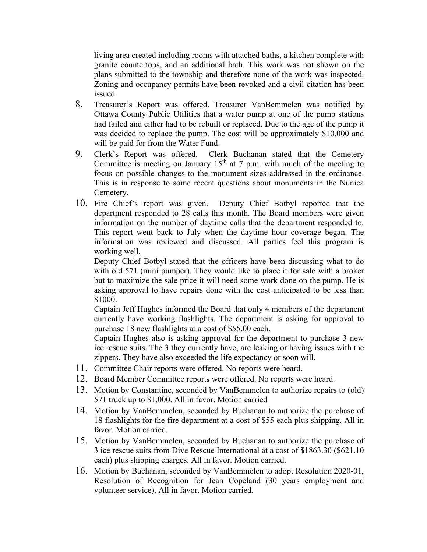living area created including rooms with attached baths, a kitchen complete with granite countertops, and an additional bath. This work was not shown on the plans submitted to the township and therefore none of the work was inspected. Zoning and occupancy permits have been revoked and a civil citation has been issued.

- 8. Treasurer's Report was offered. Treasurer VanBemmelen was notified by Ottawa County Public Utilities that a water pump at one of the pump stations had failed and either had to be rebuilt or replaced. Due to the age of the pump it was decided to replace the pump. The cost will be approximately \$10,000 and will be paid for from the Water Fund.
- 9. Clerk's Report was offered. Clerk Buchanan stated that the Cemetery Committee is meeting on January 15<sup>th</sup> at 7 p.m. with much of the meeting to focus on possible changes to the monument sizes addressed in the ordinance. This is in response to some recent questions about monuments in the Nunica Cemetery.
- 10. Fire Chief's report was given. Deputy Chief Botbyl reported that the department responded to 28 calls this month. The Board members were given information on the number of daytime calls that the department responded to. This report went back to July when the daytime hour coverage began. The information was reviewed and discussed. All parties feel this program is working well.

Deputy Chief Botbyl stated that the officers have been discussing what to do with old 571 (mini pumper). They would like to place it for sale with a broker but to maximize the sale price it will need some work done on the pump. He is asking approval to have repairs done with the cost anticipated to be less than \$1000.

Captain Jeff Hughes informed the Board that only 4 members of the department currently have working flashlights. The department is asking for approval to purchase 18 new flashlights at a cost of \$55.00 each.

Captain Hughes also is asking approval for the department to purchase 3 new ice rescue suits. The 3 they currently have, are leaking or having issues with the zippers. They have also exceeded the life expectancy or soon will.

- 11. Committee Chair reports were offered. No reports were heard.
- 12. Board Member Committee reports were offered. No reports were heard.
- 13. Motion by Constantine, seconded by VanBemmelen to authorize repairs to (old) 571 truck up to \$1,000. All in favor. Motion carried
- 14. Motion by VanBemmelen, seconded by Buchanan to authorize the purchase of 18 flashlights for the fire department at a cost of \$55 each plus shipping. All in favor. Motion carried.
- 15. Motion by VanBemmelen, seconded by Buchanan to authorize the purchase of 3 ice rescue suits from Dive Rescue International at a cost of \$1863.30 (\$621.10 each) plus shipping charges. All in favor. Motion carried.
- 16. Motion by Buchanan, seconded by VanBemmelen to adopt Resolution 2020-01, Resolution of Recognition for Jean Copeland (30 years employment and volunteer service). All in favor. Motion carried.